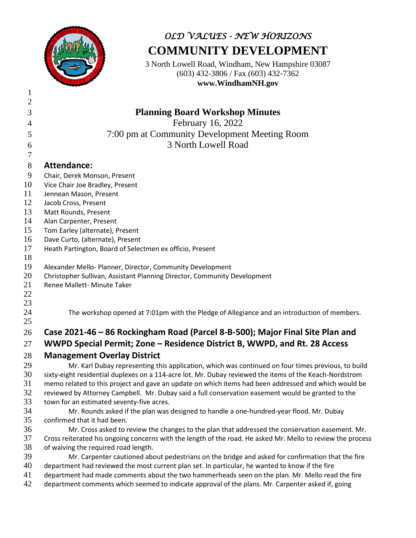

## *OLD VALUES - NEW HORIZONS* **COMMUNITY DEVELOPMENT**

3 North Lowell Road, Windham, New Hampshire 03087 (603) 432-3806 / Fax (603) 432-7362 **www.WindhamNH.gov**

| $\overline{2}$ |                                                                                                             |
|----------------|-------------------------------------------------------------------------------------------------------------|
| 3              | <b>Planning Board Workshop Minutes</b>                                                                      |
| $\overline{4}$ | February 16, 2022                                                                                           |
| 5              | 7:00 pm at Community Development Meeting Room                                                               |
|                | 3 North Lowell Road                                                                                         |
| 6<br>$\tau$    |                                                                                                             |
|                |                                                                                                             |
| $8\phantom{.}$ | <b>Attendance:</b>                                                                                          |
| 9              | Chair, Derek Monson, Present                                                                                |
| 10             | Vice Chair Joe Bradley, Present                                                                             |
| 11             | Jennean Mason, Present                                                                                      |
| 12             | Jacob Cross, Present                                                                                        |
| 13             | Matt Rounds, Present                                                                                        |
| 14             | Alan Carpenter, Present                                                                                     |
| 15             | Tom Earley (alternate), Present                                                                             |
| 16             | Dave Curto, (alternate), Present                                                                            |
| 17             | Heath Partington, Board of Selectmen ex officio, Present                                                    |
| 18             |                                                                                                             |
| 19             | Alexander Mello- Planner, Director, Community Development                                                   |
| 20             | Christopher Sullivan, Assistant Planning Director, Community Development                                    |
| 21             | Renee Mallett- Minute Taker                                                                                 |
| 22             |                                                                                                             |
| 23             |                                                                                                             |
| 24<br>25       | The workshop opened at 7:01pm with the Pledge of Allegiance and an introduction of members.                 |
|                |                                                                                                             |
| 26             | Case 2021-46 - 86 Rockingham Road (Parcel 8-B-500); Major Final Site Plan and                               |
| 27             | WWPD Special Permit; Zone - Residence District B, WWPD, and Rt. 28 Access                                   |
| 28             | <b>Management Overlay District</b>                                                                          |
| 29             | Mr. Karl Dubay representing this application, which was continued on four times previous, to build          |
| 30             | sixty-eight residential duplexes on a 114-acre lot. Mr. Dubay reviewed the items of the Keach-Nordstrom     |
| 31             | memo related to this project and gave an update on which items had been addressed and which would be        |
| 32             | reviewed by Attorney Campbell. Mr. Dubay said a full conservation easement would be granted to the          |
| 33             | town for an estimated seventy-five acres.                                                                   |
| 34             | Mr. Rounds asked if the plan was designed to handle a one-hundred-year flood. Mr. Dubay                     |
| 35             | confirmed that it had been.                                                                                 |
| 36             | Mr. Cross asked to review the changes to the plan that addressed the conservation easement. Mr.             |
| 37             | Cross reiterated his ongoing concerns with the length of the road. He asked Mr. Mello to review the process |
| 38             | of waiving the required road length.                                                                        |
| 39             | Mr. Carpenter cautioned about pedestrians on the bridge and asked for confirmation that the fire            |
| 40             | department had reviewed the most current plan set. In particular, he wanted to know if the fire             |
| 41             | department had made comments about the two hammerheads seen on the plan. Mr. Mello read the fire            |
| 42             | department comments which seemed to indicate approval of the plans. Mr. Carpenter asked if, going           |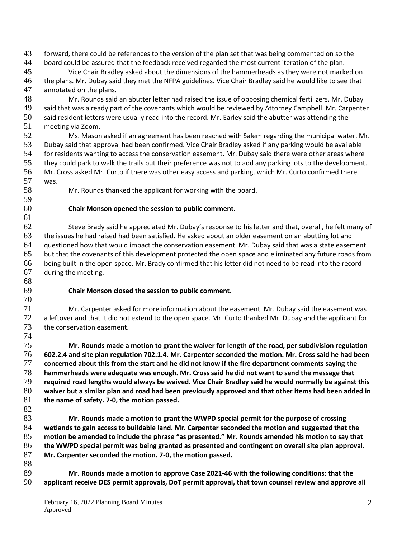forward, there could be references to the version of the plan set that was being commented on so the board could be assured that the feedback received regarded the most current iteration of the plan. Vice Chair Bradley asked about the dimensions of the hammerheads as they were not marked on the plans. Mr. Dubay said they met the NFPA guidelines. Vice Chair Bradley said he would like to see that annotated on the plans. Mr. Rounds said an abutter letter had raised the issue of opposing chemical fertilizers. Mr. Dubay said that was already part of the covenants which would be reviewed by Attorney Campbell. Mr. Carpenter said resident letters were usually read into the record. Mr. Earley said the abutter was attending the meeting via Zoom. Ms. Mason asked if an agreement has been reached with Salem regarding the municipal water. Mr. Dubay said that approval had been confirmed. Vice Chair Bradley asked if any parking would be available for residents wanting to access the conservation easement. Mr. Dubay said there were other areas where they could park to walk the trails but their preference was not to add any parking lots to the development. Mr. Cross asked Mr. Curto if there was other easy access and parking, which Mr. Curto confirmed there was. Mr. Rounds thanked the applicant for working with the board. **Chair Monson opened the session to public comment.**  Steve Brady said he appreciated Mr. Dubay's response to his letter and that, overall, he felt many of the issues he had raised had been satisfied. He asked about an older easement on an abutting lot and questioned how that would impact the conservation easement. Mr. Dubay said that was a state easement but that the covenants of this development protected the open space and eliminated any future roads from being built in the open space. Mr. Brady confirmed that his letter did not need to be read into the record during the meeting. 

#### **Chair Monson closed the session to public comment.**

 Mr. Carpenter asked for more information about the easement. Mr. Dubay said the easement was a leftover and that it did not extend to the open space. Mr. Curto thanked Mr. Dubay and the applicant for the conservation easement. 

 **Mr. Rounds made a motion to grant the waiver for length of the road, per subdivision regulation 602.2.4 and site plan regulation 702.1.4. Mr. Carpenter seconded the motion. Mr. Cross said he had been concerned about this from the start and he did not know if the fire department comments saying the hammerheads were adequate was enough. Mr. Cross said he did not want to send the message that required road lengths would always be waived. Vice Chair Bradley said he would normally be against this waiver but a similar plan and road had been previously approved and that other items had been added in the name of safety. 7-0, the motion passed.** 

 **Mr. Rounds made a motion to grant the WWPD special permit for the purpose of crossing wetlands to gain access to buildable land. Mr. Carpenter seconded the motion and suggested that the motion be amended to include the phrase "as presented." Mr. Rounds amended his motion to say that the WWPD special permit was being granted as presented and contingent on overall site plan approval. Mr. Carpenter seconded the motion. 7-0, the motion passed.** 

89 **Mr. Rounds made a motion to approve Case 2021-46 with the following conditions: that the <br>90 <b>applicant receive DES permit approvals. DoT permit approval, that town counsel review and approve applicant receive DES permit approvals, DoT permit approval, that town counsel review and approve all**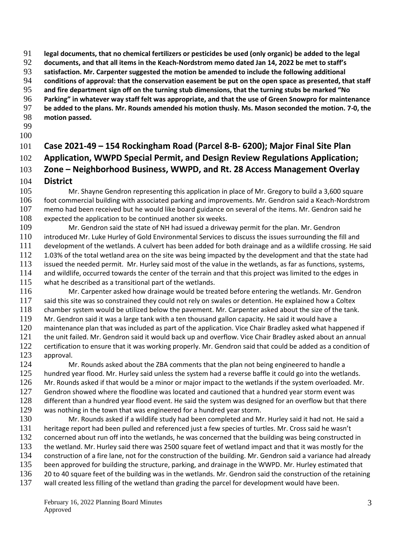**legal documents, that no chemical fertilizers or pesticides be used (only organic) be added to the legal** 

**documents, and that all items in the Keach-Nordstrom memo dated Jan 14, 2022 be met to staff's** 

**satisfaction. Mr. Carpenter suggested the motion be amended to include the following additional** 

**conditions of approval: that the conservation easement be put on the open space as presented, that staff** 

- **and fire department sign off on the turning stub dimensions, that the turning stubs be marked "No**
- **Parking" in whatever way staff felt was appropriate, and that the use of Green Snowpro for maintenance be added to the plans. Mr. Rounds amended his motion thusly. Ms. Mason seconded the motion. 7-0, the**
- **motion passed.**
- 
- 

### **Case 2021-49 – 154 Rockingham Road (Parcel 8-B- 6200); Major Final Site Plan Application, WWPD Special Permit, and Design Review Regulations Application; Zone – Neighborhood Business, WWPD, and Rt. 28 Access Management Overlay District**

 Mr. Shayne Gendron representing this application in place of Mr. Gregory to build a 3,600 square foot commercial building with associated parking and improvements. Mr. Gendron said a Keach-Nordstrom memo had been received but he would like board guidance on several of the items. Mr. Gendron said he 108 expected the application to be continued another six weeks.

 Mr. Gendron said the state of NH had issued a driveway permit for the plan. Mr. Gendron introduced Mr. Luke Hurley of Gold Environmental Services to discuss the issues surrounding the fill and development of the wetlands. A culvert has been added for both drainage and as a wildlife crossing. He said 112 1.03% of the total wetland area on the site was being impacted by the development and that the state had issued the needed permit. Mr. Hurley said most of the value in the wetlands, as far as functions, systems, 114 and wildlife, occurred towards the center of the terrain and that this project was limited to the edges in what he described as a transitional part of the wetlands.

 Mr. Carpenter asked how drainage would be treated before entering the wetlands. Mr. Gendron 117 said this site was so constrained they could not rely on swales or detention. He explained how a Coltex chamber system would be utilized below the pavement. Mr. Carpenter asked about the size of the tank. Mr. Gendron said it was a large tank with a ten thousand gallon capacity. He said it would have a 120 maintenance plan that was included as part of the application. Vice Chair Bradley asked what happened if the unit failed. Mr. Gendron said it would back up and overflow. Vice Chair Bradley asked about an annual 122 certification to ensure that it was working properly. Mr. Gendron said that could be added as a condition of <br>123 approval. approval.

124 Mr. Rounds asked about the ZBA comments that the plan not being engineered to handle a 125 hundred year flood. Mr. Hurley said unless the system had a reverse baffle it could go into the wetlands. Mr. Rounds asked if that would be a minor or major impact to the wetlands if the system overloaded. Mr. 127 Gendron showed where the floodline was located and cautioned that a hundred year storm event was different than a hundred year flood event. He said the system was designed for an overflow but that there was nothing in the town that was engineered for a hundred year storm.

 Mr. Rounds asked if a wildlife study had been completed and Mr. Hurley said it had not. He said a heritage report had been pulled and referenced just a few species of turtles. Mr. Cross said he wasn't 132 concerned about run off into the wetlands, he was concerned that the building was being constructed in the wetland. Mr. Hurley said there was 2500 square feet of wetland impact and that it was mostly for the construction of a fire lane, not for the construction of the building. Mr. Gendron said a variance had already 135 been approved for building the structure, parking, and drainage in the WWPD. Mr. Hurley estimated that 136 20 to 40 square feet of the building was in the wetlands. Mr. Gendron said the construction of the retaining wall created less filling of the wetland than grading the parcel for development would have been.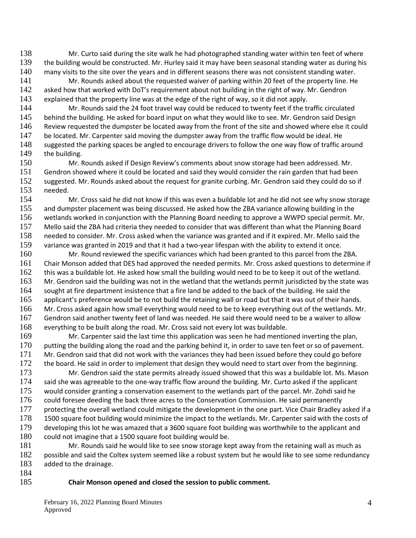138 Mr. Curto said during the site walk he had photographed standing water within ten feet of where 139 the building would be constructed. Mr. Hurley said it may have been seasonal standing water as during his 140 many visits to the site over the years and in different seasons there was not consistent standing water.

141 Mr. Rounds asked about the requested waiver of parking within 20 feet of the property line. He<br>142 asked how that worked with DoT's requirement about not building in the right of way. Mr. Gendron asked how that worked with DoT's requirement about not building in the right of way. Mr. Gendron 143 explained that the property line was at the edge of the right of way, so it did not apply.

144 Mr. Rounds said the 24 foot travel way could be reduced to twenty feet if the traffic circulated 145 behind the building. He asked for board input on what they would like to see. Mr. Gendron said Design 146 Review requested the dumpster be located away from the front of the site and showed where else it could

147 be located. Mr. Carpenter said moving the dumpster away from the traffic flow would be ideal. He 148 suggested the parking spaces be angled to encourage drivers to follow the one way flow of traffic around 149 the building.

150 Mr. Rounds asked if Design Review's comments about snow storage had been addressed. Mr. 151 Gendron showed where it could be located and said they would consider the rain garden that had been 152 suggested. Mr. Rounds asked about the request for granite curbing. Mr. Gendron said they could do so if 153 needed.<br>154 M

Mr. Cross said he did not know if this was even a buildable lot and he did not see why snow storage and dumpster placement was being discussed. He asked how the ZBA variance allowing building in the wetlands worked in conjunction with the Planning Board needing to approve a WWPD special permit. Mr. Mello said the ZBA had criteria they needed to consider that was different than what the Planning Board needed to consider. Mr. Cross asked when the variance was granted and if it expired. Mr. Mello said the variance was granted in 2019 and that it had a two-year lifespan with the ability to extend it once.

 Mr. Round reviewed the specific variances which had been granted to this parcel from the ZBA. Chair Monson added that DES had approved the needed permits. Mr. Cross asked questions to determine if this was a buildable lot. He asked how small the building would need to be to keep it out of the wetland. Mr. Gendron said the building was not in the wetland that the wetlands permit jurisdicted by the state was sought at fire department insistence that a fire land be added to the back of the building. He said the applicant's preference would be to not build the retaining wall or road but that it was out of their hands. Mr. Cross asked again how small everything would need to be to keep everything out of the wetlands. Mr. Gendron said another twenty feet of land was needed. He said there would need to be a waiver to allow everything to be built along the road. Mr. Cross said not every lot was buildable.

169 Mr. Carpenter said the last time this application was seen he had mentioned inverting the plan, 170 putting the building along the road and the parking behind it, in order to save ten feet or so of pavement. 171 Mr. Gendron said that did not work with the variances they had been issued before they could go before 172 the board. He said in order to implement that design they would need to start over from the beginning.

173 Mr. Gendron said the state permits already issued showed that this was a buildable lot. Ms. Mason<br>174 said she was agreeable to the one-way traffic flow around the building. Mr. Curto asked if the applicant said she was agreeable to the one-way traffic flow around the building. Mr. Curto asked if the applicant 175 would consider granting a conservation easement to the wetlands part of the parcel. Mr. Zohdi said he 176 could foresee deeding the back three acres to the Conservation Commission. He said permanently<br>177 orotecting the overall wetland could mitigate the development in the one part. Vice Chair Bradlev a protecting the overall wetland could mitigate the development in the one part. Vice Chair Bradley asked if a 178 1500 square foot building would minimize the impact to the wetlands. Mr. Carpenter said with the costs of 179 developing this lot he was amazed that a 3600 square foot building was worthwhile to the applicant and 180 could not imagine that a 1500 square foot building would be.

181 Mr. Rounds said he would like to see snow storage kept away from the retaining wall as much as 182 possible and said the Coltex system seemed like a robust system but he would like to see some redundancy 183 added to the drainage.

184

#### 185 **Chair Monson opened and closed the session to public comment.**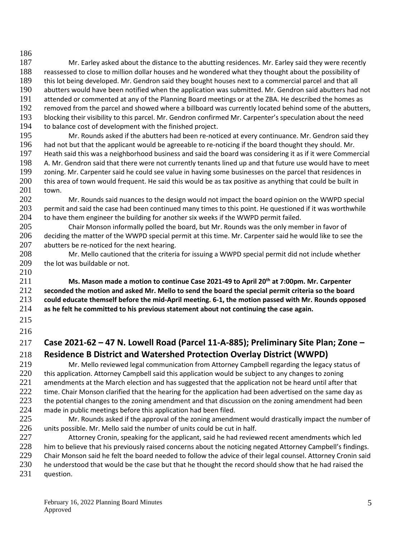186 187 Mr. Earley asked about the distance to the abutting residences. Mr. Earley said they were recently 188 reassessed to close to million dollar houses and he wondered what they thought about the possibility of 189 this lot being developed. Mr. Gendron said they bought houses next to a commercial parcel and that all 190 abutters would have been notified when the application was submitted. Mr. Gendron said abutters had abutters would have been notified when the application was submitted. Mr. Gendron said abutters had not 191 attended or commented at any of the Planning Board meetings or at the ZBA. He described the homes as 192 removed from the parcel and showed where a billboard was currently located behind some of the abutters, 193 blocking their visibility to this parcel. Mr. Gendron confirmed Mr. Carpenter's speculation about the need

194 to balance cost of development with the finished project.

 Mr. Rounds asked if the abutters had been re-noticed at every continuance. Mr. Gendron said they had not but that the applicant would be agreeable to re-noticing if the board thought they should. Mr. Heath said this was a neighborhood business and said the board was considering it as if it were Commercial A. Mr. Gendron said that there were not currently tenants lined up and that future use would have to meet zoning. Mr. Carpenter said he could see value in having some businesses on the parcel that residences in this area of town would frequent. He said this would be as tax positive as anything that could be built in 201 town.<br>202

202 Mr. Rounds said nuances to the design would not impact the board opinion on the WWPD special 203 permit and said the case had been continued many times to this point. He questioned if it was worthwhile 204 to have them engineer the building for another six weeks if the WWPD permit failed.

205 Chair Monson informally polled the board, but Mr. Rounds was the only member in favor of 206 deciding the matter of the WWPD special permit at this time. Mr. Carpenter said he would like to see the 207 abutters be re-noticed for the next hearing.

208 Mr. Mello cautioned that the criteria for issuing a WWPD special permit did not include whether 209 the lot was buildable or not. 210

**Ms. Mason made a motion to continue Case 2021-49 to April 20th** 211 **at 7:00pm. Mr. Carpenter seconded the motion and asked Mr. Mello to send the board the special permit criteria so the board could educate themself before the mid-April meeting. 6-1, the motion passed with Mr. Rounds opposed as he felt he committed to his previous statement about not continuing the case again.** 

215 216

# 217 **Case 2021-62 – 47 N. Lowell Road (Parcel 11-A-885); Preliminary Site Plan; Zone – Residence B District and Watershed Protection Overlay District (WWPD)**<br>219 Mr. Mello reviewed legal communication from Attorney Campbell regarding the legacy

219 Mr. Mello reviewed legal communication from Attorney Campbell regarding the legacy status of 220 this application. Attorney Campbell said this application would be subject to any changes to zoning 221 amendments at the March election and has suggested that the application not be heard until after that 222 time. Chair Monson clarified that the hearing for the application had been advertised on the same day as 223 the potential changes to the zoning amendment and that discussion on the zoning amendment had been 224 made in public meetings before this application had been filed.

225 Mr. Rounds asked if the approval of the zoning amendment would drastically impact the number of 226 units possible. Mr. Mello said the number of units could be cut in half.

227 Attorney Cronin, speaking for the applicant, said he had reviewed recent amendments which led 228 him to believe that his previously raised concerns about the noticing negated Attorney Campbell's findings. 229 Chair Monson said he felt the board needed to follow the advice of their legal counsel. Attorney Cronin said 230 he understood that would be the case but that he thought the record should show that he had raised the 231 question.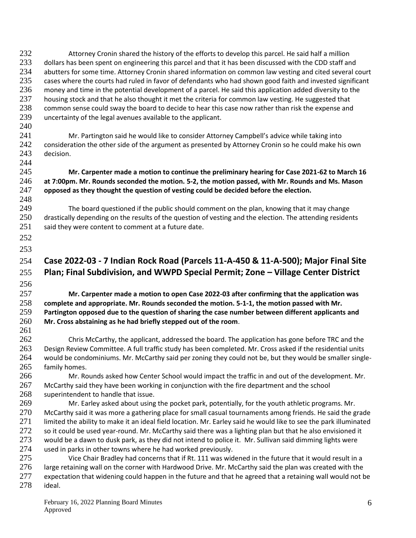232 Attorney Cronin shared the history of the efforts to develop this parcel. He said half a million 233 dollars has been spent on engineering this parcel and that it has been discussed with the CDD staff and<br>234 abutters for some time. Attornev Cronin shared information on common law vesting and cited several c abutters for some time. Attorney Cronin shared information on common law vesting and cited several court 235 cases where the courts had ruled in favor of defendants who had shown good faith and invested significant<br>236 money and time in the potential development of a parcel. He said this application added diversity to the money and time in the potential development of a parcel. He said this application added diversity to the 237 housing stock and that he also thought it met the criteria for common law vesting. He suggested that 238 common sense could sway the board to decide to hear this case now rather than risk the expense and 239 uncertainty of the legal avenues available to the applicant.

241 Mr. Partington said he would like to consider Attorney Campbell's advice while taking into 242 consideration the other side of the argument as presented by Attorney Cronin so he could make his own 243 decision. 244

245 **Mr. Carpenter made a motion to continue the preliminary hearing for Case 2021-62 to March 16**  246 **at 7:00pm. Mr. Rounds seconded the motion. 5-2, the motion passed, with Mr. Rounds and Ms. Mason**  247 **opposed as they thought the question of vesting could be decided before the election.**

249 The board questioned if the public should comment on the plan, knowing that it may change 250 drastically depending on the results of the question of vesting and the election. The attending residents 251 said they were content to comment at a future date.

252 253

248

240

### 254 **Case 2022-03 - 7 Indian Rock Road (Parcels 11-A-450 & 11-A-500); Major Final Site**  255 **Plan; Final Subdivision, and WWPD Special Permit; Zone – Village Center District**

256

261

 **Mr. Carpenter made a motion to open Case 2022-03 after confirming that the application was complete and appropriate. Mr. Rounds seconded the motion. 5-1-1, the motion passed with Mr. Partington opposed due to the question of sharing the case number between different applicants and Mr. Cross abstaining as he had briefly stepped out of the room**.

 Chris McCarthy, the applicant, addressed the board. The application has gone before TRC and the Design Review Committee. A full traffic study has been completed. Mr. Cross asked if the residential units would be condominiums. Mr. McCarthy said per zoning they could not be, but they would be smaller single-family homes.

266 Mr. Rounds asked how Center School would impact the traffic in and out of the development. Mr. 267 McCarthy said they have been working in conjunction with the fire department and the school 268 superintendent to handle that issue.

269 Mr. Earley asked about using the pocket park, potentially, for the youth athletic programs. Mr. 270 McCarthy said it was more a gathering place for small casual tournaments among friends. He said the grade 271 limited the ability to make it an ideal field location. Mr. Earley said he would like to see the park illuminated 272 so it could be used year-round. Mr. McCarthy said there was a lighting plan but that he also envisioned it 273 would be a dawn to dusk park, as they did not intend to police it. Mr. Sullivan said dimming lights were 274 used in parks in other towns where he had worked previously. used in parks in other towns where he had worked previously.

275 Vice Chair Bradley had concerns that if Rt. 111 was widened in the future that it would result in a 276 large retaining wall on the corner with Hardwood Drive. Mr. McCarthy said the plan was created with the 277 expectation that widening could happen in the future and that he agreed that a retaining wall would not be 278 ideal.